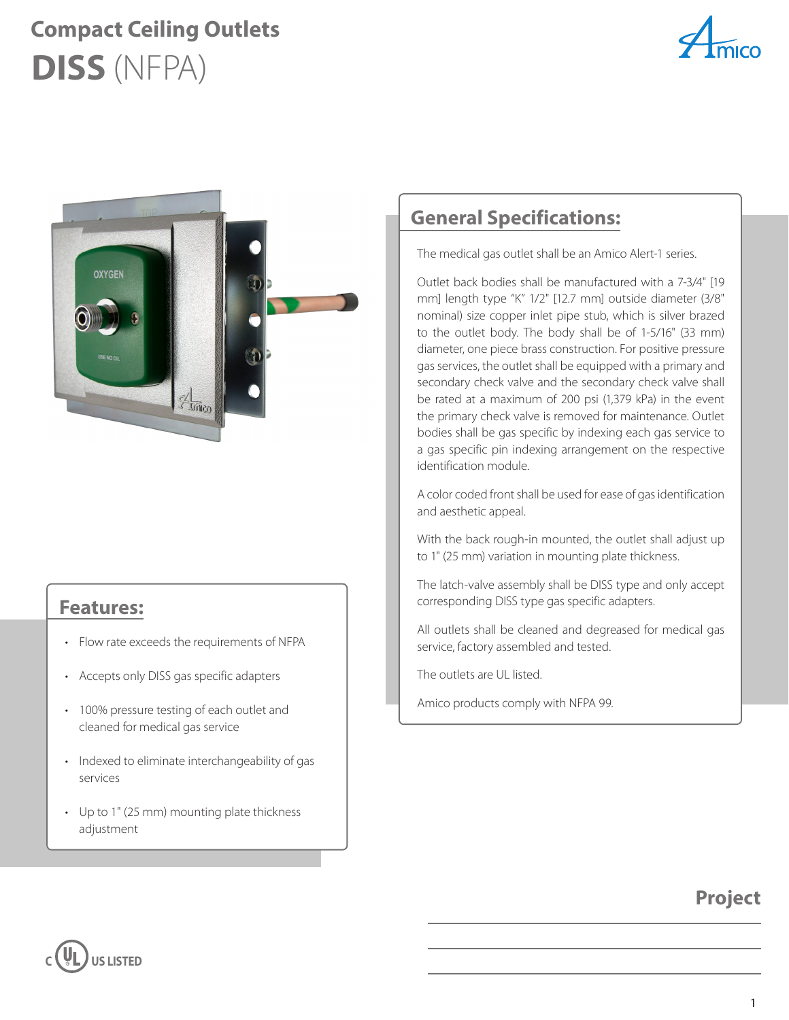## **DISS** (NFPA) **Compact Ceiling Outlets**





#### **Features:**

- Flow rate exceeds the requirements of NFPA
- Accepts only DISS gas specific adapters
- 100% pressure testing of each outlet and cleaned for medical gas service
- Indexed to eliminate interchangeability of gas services
- Up to 1" (25 mm) mounting plate thickness adjustment

#### **General Specifications:**

The medical gas outlet shall be an Amico Alert-1 series.

Outlet back bodies shall be manufactured with a 7-3/4" [19 mm] length type "K" 1/2" [12.7 mm] outside diameter (3/8" nominal) size copper inlet pipe stub, which is silver brazed to the outlet body. The body shall be of 1-5/16" (33 mm) diameter, one piece brass construction. For positive pressure gas services, the outlet shall be equipped with a primary and secondary check valve and the secondary check valve shall be rated at a maximum of 200 psi (1,379 kPa) in the event the primary check valve is removed for maintenance. Outlet bodies shall be gas specific by indexing each gas service to a gas specific pin indexing arrangement on the respective identification module.

A color coded front shall be used for ease of gas identification and aesthetic appeal.

With the back rough-in mounted, the outlet shall adjust up to 1" (25 mm) variation in mounting plate thickness.

The latch-valve assembly shall be DISS type and only accept corresponding DISS type gas specific adapters.

All outlets shall be cleaned and degreased for medical gas service, factory assembled and tested.

The outlets are UL listed.

Amico products comply with NFPA 99.

#### **Project**